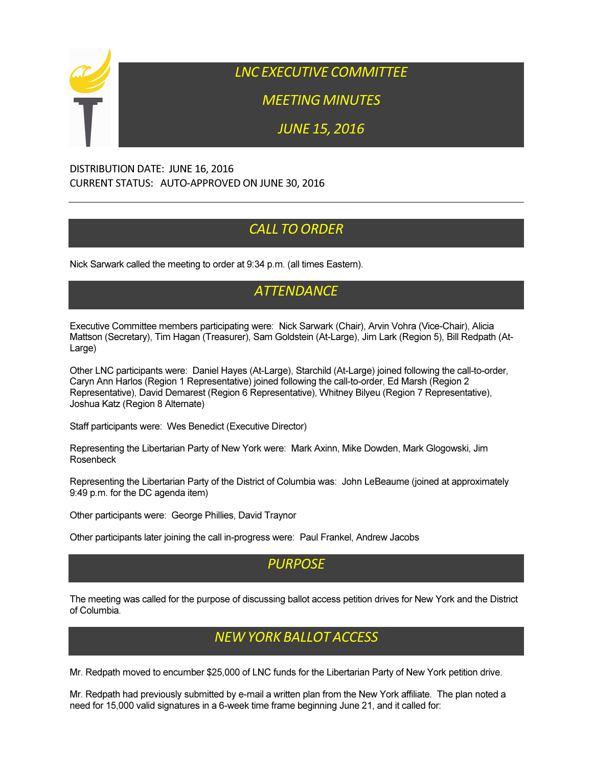

LNC EXECUTIVE COMMITTEE

MEETING MINUTES

JUNE 15, 2016

#### DISTRIBUTION DATE: JUNE 16, 2016 CURRENT STATUS: AUTO-APPROVED ON JUNE 30, 2016

# **CALL TO ORDER**

Nick Sarwark called the meeting to order at 9:34 p.m. (all times Eastern).

## **ATTENDANCE**

Executive Committee members participating were: Nick Sarwark (Chair), Arvin Vohra (Vice-Chair), Alicia Mattson (Secretary), Tim Hagan (Treasurer), Sam Goldstein (At-Large), Jim Lark (Region 5), Bill Redpath (At-Large)

Other LNC participants were: Daniel Hayes (At-Large), Starchild (At-Large) joined following the call-to-order, Caryn Ann Harlos (Region 1 Representative) joined following the call-to-order, Ed Marsh (Region 2 Representative), David Demarest (Region 6 Representative), Whitney Bilyeu (Region 7 Representative), Joshua Katz (Region 8 Alternate)

Staff participants were: Wes Benedict (Executive Director)

Representing the Libertarian Party of New York were: Mark Axinn, Mike Dowden, Mark Glogowski, Jim Rosenbeck

Representing the Libertarian Party of the District of Columbia was: John LeBeaume (joined at approximately 9:49 p.m. for the DC agenda item)

Other participants were: George Phillies, David Traynor

Other participants later joining the call in-progress were: Paul Frankel, Andrew Jacobs

#### PURPOSE

The meeting was called for the purpose of discussing ballot access petition drives for New York and the District of Columbia.

### NEW YORK BALLOT ACCESS

Mr. Redpath moved to encumber \$25,000 of LNC funds for the Libertarian Party of New York petition drive.

Mr. Redpath had previously submitted by e-mail a written plan from the New York affiliate. The plan noted a need for 15,000 valid signatures in a 6-week time frame beginning June 21, and it called for: